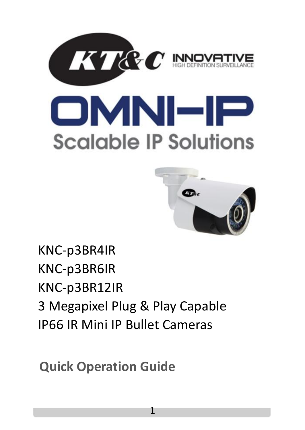





KNC-p3BR4IR KNC-p3BR6IR KNC-p3BR12IR 3 Megapixel Plug & Play Capable IP66 IR Mini IP Bullet Cameras

**Quick Operation Guide**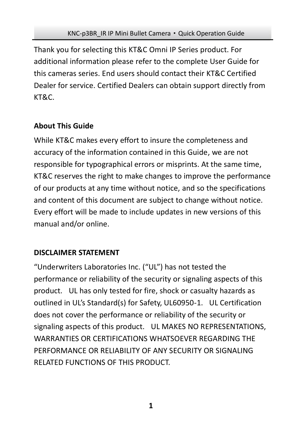Thank you for selecting this KT&C Omni IP Series product. For additional information please refer to the complete User Guide for this cameras series. End users should contact their KT&C Certified Dealer for service. Certified Dealers can obtain support directly from KT&C.

## **About This Guide**

While KT&C makes every effort to insure the completeness and accuracy of the information contained in this Guide, we are not responsible for typographical errors or misprints. At the same time, KT&C reserves the right to make changes to improve the performance of our products at any time without notice, and so the specifications and content of this document are subject to change without notice. Every effort will be made to include updates in new versions of this manual and/or online.

## **DISCLAIMER STATEMENT**

"Underwriters Laboratories Inc. ("UL") has not tested the performance or reliability of the security or signaling aspects of this product. UL has only tested for fire, shock or casualty hazards as outlined in UL's Standard(s) for Safety, UL60950-1. UL Certification does not cover the performance or reliability of the security or signaling aspects of this product. UL MAKES NO REPRESENTATIONS, WARRANTIES OR CERTIFICATIONS WHATSOEVER REGARDING THE PERFORMANCE OR RELIABILITY OF ANY SECURITY OR SIGNALING RELATED FUNCTIONS OF THIS PRODUCT.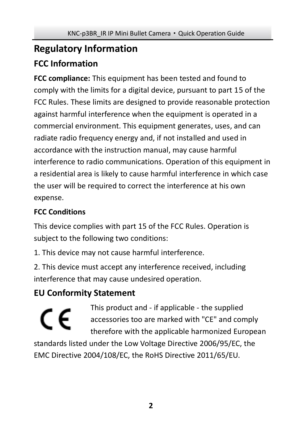# **Regulatory Information FCC Information**

**FCC compliance:** This equipment has been tested and found to comply with the limits for a digital device, pursuant to part 15 of the FCC Rules. These limits are designed to provide reasonable protection against harmful interference when the equipment is operated in a commercial environment. This equipment generates, uses, and can radiate radio frequency energy and, if not installed and used in accordance with the instruction manual, may cause harmful interference to radio communications. Operation of this equipment in a residential area is likely to cause harmful interference in which case the user will be required to correct the interference at his own expense.

# **FCC Conditions**

This device complies with part 15 of the FCC Rules. Operation is subject to the following two conditions:

1. This device may not cause harmful interference.

2. This device must accept any interference received, including interference that may cause undesired operation.

# **EU Conformity Statement**

This product and - if applicable - the supplied C E accessories too are marked with "CE" and comply therefore with the applicable harmonized European standards listed under the Low Voltage Directive 2006/95/EC, the EMC Directive 2004/108/EC, the RoHS Directive 2011/65/EU.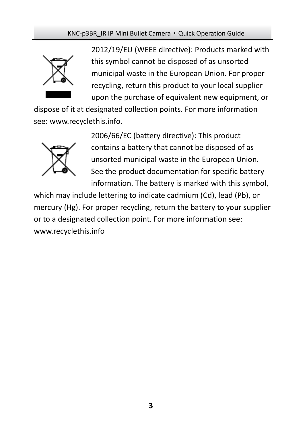

2012/19/EU (WEEE directive): Products marked with this symbol cannot be disposed of as unsorted municipal waste in the European Union. For proper recycling, return this product to your local supplier upon the purchase of equivalent new equipment, or

dispose of it at designated collection points. For more information see[: www.recyclethis.info.](http://www.recyclethis.info/)



2006/66/EC (battery directive): This product contains a battery that cannot be disposed of as unsorted municipal waste in the European Union. See the product documentation for specific battery information. The battery is marked with this symbol,

which may include lettering to indicate cadmium (Cd), lead (Pb), or mercury (Hg). For proper recycling, return the battery to your supplier or to a designated collection point. For more information see: www.recyclethis.info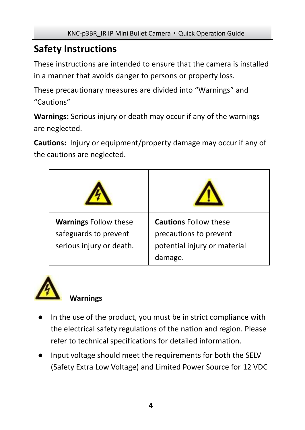# **Safety Instructions**

These instructions are intended to ensure that the camera is installed in a manner that avoids danger to persons or property loss.

These precautionary measures are divided into "Warnings" and "Cautions"

**Warnings:** Serious injury or death may occur if any of the warnings are neglected.

**Cautions:** Injury or equipment/property damage may occur if any of the cautions are neglected.

| <b>Warnings Follow these</b><br>safeguards to prevent<br>serious injury or death. | <b>Cautions Follow these</b><br>precautions to prevent<br>potential injury or material<br>damage. |
|-----------------------------------------------------------------------------------|---------------------------------------------------------------------------------------------------|



# **Warnings**

- In the use of the product, you must be in strict compliance with the electrical safety regulations of the nation and region. Please refer to technical specifications for detailed information.
- Input voltage should meet the requirements for both the SELV (Safety Extra Low Voltage) and Limited Power Source for 12 VDC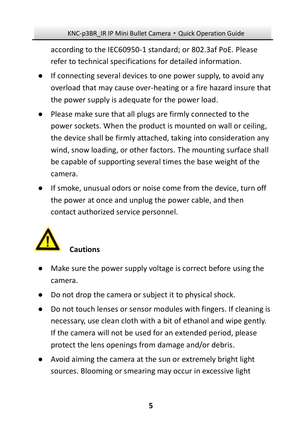according to the IEC60950-1 standard; or 802.3af PoE. Please refer to technical specifications for detailed information.

- If connecting several devices to one power supply, to avoid any overload that may cause over-heating or a fire hazard insure that the power supply is adequate for the power load.
- Please make sure that all plugs are firmly connected to the power sockets. When the product is mounted on wall or ceiling, the device shall be firmly attached, taking into consideration any wind, snow loading, or other factors. The mounting surface shall be capable of supporting several times the base weight of the camera.
- If smoke, unusual odors or noise come from the device, turn off the power at once and unplug the power cable, and then contact authorized service personnel.



# ● Make sure the power supply voltage is correct before using the camera.

- Do not drop the camera or subject it to physical shock.
- Do not touch lenses or sensor modules with fingers. If cleaning is necessary, use clean cloth with a bit of ethanol and wipe gently. If the camera will not be used for an extended period, please protect the lens openings from damage and/or debris.
- Avoid aiming the camera at the sun or extremely bright light sources. Blooming or smearing may occur in excessive light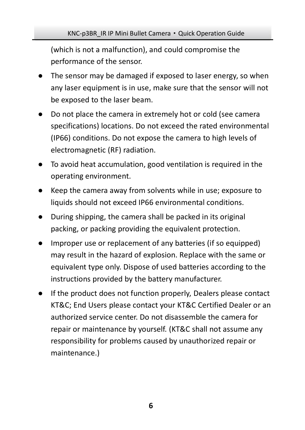(which is not a malfunction), and could compromise the performance of the sensor.

- The sensor may be damaged if exposed to laser energy, so when any laser equipment is in use, make sure that the sensor will not be exposed to the laser beam.
- Do not place the camera in extremely hot or cold (see camera specifications) locations. Do not exceed the rated environmental (IP66) conditions. Do not expose the camera to high levels of electromagnetic (RF) radiation.
- To avoid heat accumulation, good ventilation is required in the operating environment.
- Keep the camera away from solvents while in use; exposure to liquids should not exceed IP66 environmental conditions.
- During shipping, the camera shall be packed in its original packing, or packing providing the equivalent protection.
- Improper use or replacement of any batteries (if so equipped) may result in the hazard of explosion. Replace with the same or equivalent type only. Dispose of used batteries according to the instructions provided by the battery manufacturer.
- If the product does not function properly, Dealers please contact KT&C; End Users please contact your KT&C Certified Dealer or an authorized service center. Do not disassemble the camera for repair or maintenance by yourself. (KT&C shall not assume any responsibility for problems caused by unauthorized repair or maintenance.)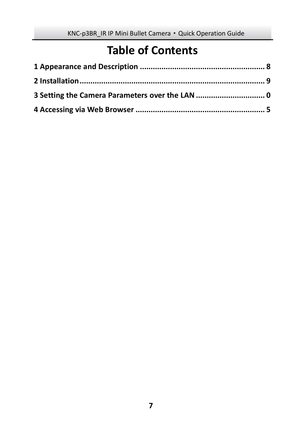# **Table of Contents**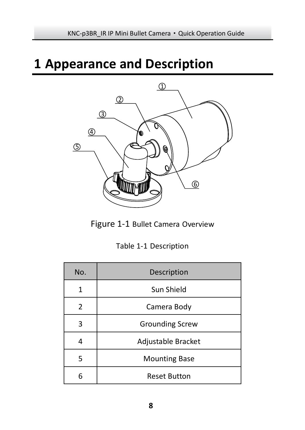# <span id="page-8-0"></span>**Appearance and Description**



Figure 1-1 Bullet Camera Overview

|  |  | Table 1-1 Description |
|--|--|-----------------------|
|--|--|-----------------------|

| No.           | Description            |
|---------------|------------------------|
|               | Sun Shield             |
| $\mathcal{P}$ | Camera Body            |
| ς             | <b>Grounding Screw</b> |
|               | Adjustable Bracket     |
| 5             | <b>Mounting Base</b>   |
| հ             | <b>Reset Button</b>    |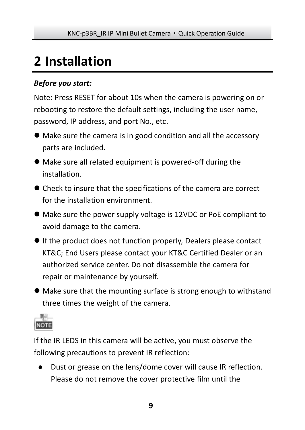# <span id="page-9-0"></span>**2 Installation**

### *Before you start:*

Note: Press RESET for about 10s when the camera is powering on or rebooting to restore the default settings, including the user name, password, IP address, and port No., etc.

- Make sure the camera is in good condition and all the accessory parts are included.
- Make sure all related equipment is powered-off during the installation.
- Check to insure that the specifications of the camera are correct for the installation environment.
- Make sure the power supply voltage is 12VDC or PoE compliant to avoid damage to the camera.
- If the product does not function properly, Dealers please contact KT&C; End Users please contact your KT&C Certified Dealer or an authorized service center. Do not disassemble the camera for repair or maintenance by yourself.
- Make sure that the mounting surface is strong enough to withstand three times the weight of the camera.



If the IR LEDS in this camera will be active, you must observe the following precautions to prevent IR reflection:

● Dust or grease on the lens/dome cover will cause IR reflection. Please do not remove the cover protective film until the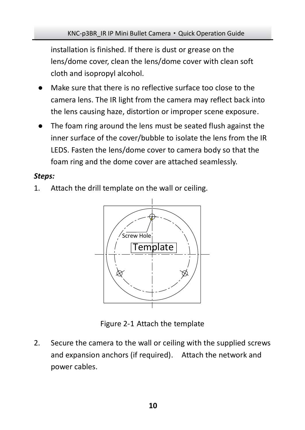installation is finished. If there is dust or grease on the lens/dome cover, clean the lens/dome cover with clean soft cloth and isopropyl alcohol.

- Make sure that there is no reflective surface too close to the camera lens. The IR light from the camera may reflect back into the lens causing haze, distortion or improper scene exposure.
- The foam ring around the lens must be seated flush against the inner surface of the cover/bubble to isolate the lens from the IR LEDS. Fasten the lens/dome cover to camera body so that the foam ring and the dome cover are attached seamlessly.

#### *Steps:*

1. Attach the drill template on the wall or ceiling.



Figure 2-1 Attach the template

2. Secure the camera to the wall or ceiling with the supplied screws and expansion anchors (if required). Attach the network and power cables.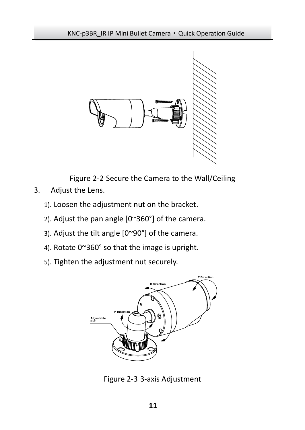

Figure 2-2 Secure the Camera to the Wall/Ceiling

- 3. Adjust the Lens.
	- 1). Loosen the adjustment nut on the bracket.
	- 2). Adjust the pan angle [0~360°] of the camera.
	- 3). Adjust the tilt angle [0~90°] of the camera.
	- 4). Rotate 0~360° so that the image is upright.
	- 5). Tighten the adjustment nut securely.



Figure 2-3 3-axis Adjustment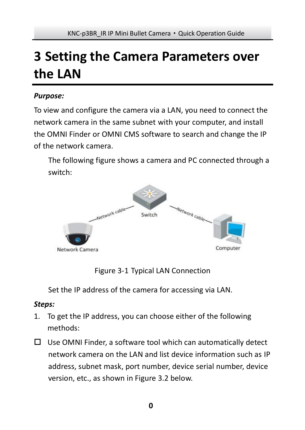# <span id="page-12-0"></span>**3 Setting the Camera Parameters over the LAN**

#### *Purpose:*

To view and configure the camera via a LAN, you need to connect the network camera in the same subnet with your computer, and install the OMNI Finder or OMNI CMS software to search and change the IP of the network camera.

The following figure shows a camera and PC connected through a switch:



Figure 3-1 Typical LAN Connection

Set the IP address of the camera for accessing via LAN.

#### *Steps:*

- 1. To get the IP address, you can choose either of the following methods:
- $\Box$  Use OMNI Finder, a software tool which can automatically detect network camera on the LAN and list device information such as IP address, subnet mask, port number, device serial number, device version, etc., as shown in Figure 3.2 below.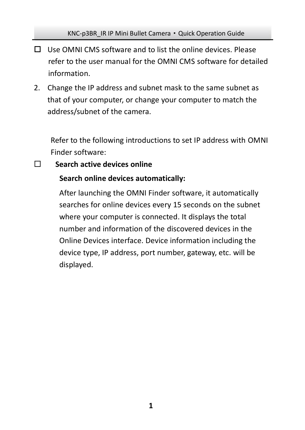- $\Box$  Use OMNI CMS software and to list the online devices. Please refer to the user manual for the OMNI CMS software for detailed information.
- 2. Change the IP address and subnet mask to the same subnet as that of your computer, or change your computer to match the address/subnet of the camera.

Refer to the following introductions to set IP address with OMNI Finder software:

#### **Search active devices online**

#### **Search online devices automatically:**

After launching the OMNI Finder software, it automatically searches for online devices every 15 seconds on the subnet where your computer is connected. It displays the total number and information of the discovered devices in the Online Devices interface. Device information including the device type, IP address, port number, gateway, etc. will be displayed.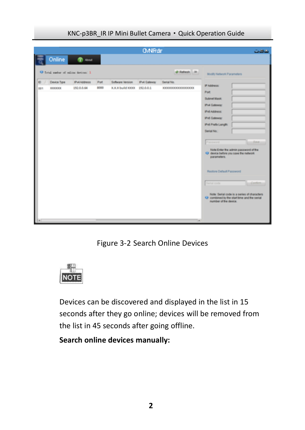|                                                        |                                   |              |                                              | <b>O/NFrdF</b> |                                | <b>COMOS</b>                                                                                                                                                                                                                                                                                           |
|--------------------------------------------------------|-----------------------------------|--------------|----------------------------------------------|----------------|--------------------------------|--------------------------------------------------------------------------------------------------------------------------------------------------------------------------------------------------------------------------------------------------------------------------------------------------------|
| Online                                                 | 0.5                               |              |                                              |                |                                |                                                                                                                                                                                                                                                                                                        |
|                                                        | O fetal suder of mline devices: 3 |              |                                              |                | @ Rehesh 39                    | <b>Modifi Network Parameters</b>                                                                                                                                                                                                                                                                       |
| <b>b</b><br><b>Cevice Tipe</b><br>don<br><b>KEKKER</b> | <b>IPv4Address</b><br>152,0.0.64  | Pot<br>\$000 | Software Version<br>XXX build XXXX 192.0.0.1 | Pv4 Galeway    | Serial No.<br>**************** | IP Address:<br>Port<br>Subnet Mask:<br><b>IPv4 Galeway</b><br><b>IPVEASSING</b><br><b>IPv6 Galeway</b><br><b>IPV6 Prefix Langift</b><br>Serial No.<br><b>Base</b><br>Parrword<br>Note Enter the admin password of the<br>O delce before you save the network<br>parameters.<br>Restore Detaut Password |
|                                                        |                                   |              |                                              |                | Tal                            | <b>Toron code</b><br>Conta<br>Note: Serial code is a series of characters<br>O combined by the start lime and the serial<br>number of the device.                                                                                                                                                      |

KNC-p3BR\_IR IP Mini Bullet Camera·Quick Operation Guide

Figure 3-2 Search Online Devices



Devices can be discovered and displayed in the list in 15 seconds after they go online; devices will be removed from the list in 45 seconds after going offline.

**Search online devices manually:**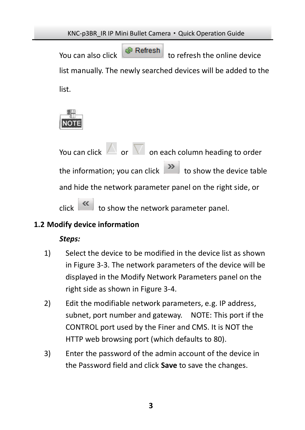You can also click  $\begin{bmatrix} \bullet & \bullet & \bullet \\ \bullet & \bullet & \bullet & \bullet \end{bmatrix}$  to refresh the online device list manually. The newly searched devices will be added to the list.



You can click  $\Box$  or  $\nabla$  on each column heading to order the information; you can click  $\begin{array}{|c|c|}\n\hline\n\end{array}$  to show the device table and hide the network parameter panel on the right side, or  $\overline{\text{click}}$  to show the network parameter panel.

### **1.2 Modify device information**

### *Steps:*

- 1) Select the device to be modified in the device list as shown i[n Figure 3-3.](#page-16-0) The network parameters of the device will be displayed in the Modify Network Parameters panel on the right side as shown i[n Figure 3-4.](#page-16-1)
- 2) Edit the modifiable network parameters, e.g. IP address, subnet, port number and gateway. NOTE: This port if the CONTROL port used by the Finer and CMS. It is NOT the HTTP web browsing port (which defaults to 80).
- 3) Enter the password of the admin account of the device in the Password field and click **Save** to save the changes.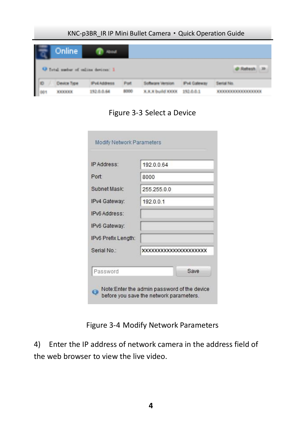| Online |                                   |  |  |
|--------|-----------------------------------|--|--|
|        | Fotal number of online devices: I |  |  |

Figure 3-3 Select a Device

<span id="page-16-0"></span>

|                     | 192.0.0.64            |
|---------------------|-----------------------|
| Port                | 8000                  |
| Subnet Mask:        | 255 255 0 0           |
| IPv4 Gateway:       | 192.0.0.1             |
| IPv6 Address:       |                       |
| IPv6 Gateway:       |                       |
| IPv6 Prefix Length: |                       |
| Serial No :         | XXXXXXXXXXXXXXXXXXXXX |

Figure 3-4 Modify Network Parameters

<span id="page-16-1"></span>4) Enter the IP address of network camera in the address field of the web browser to view the live video.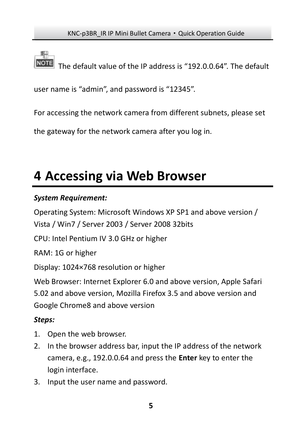The default value of the IP address is "192.0.0.64". The default

user name is "admin", and password is "12345".

For accessing the network camera from different subnets, please set

the gateway for the network camera after you log in.

# <span id="page-17-0"></span>**4 Accessing via Web Browser**

### *System Requirement:*

Operating System: Microsoft Windows XP SP1 and above version / Vista / Win7 / Server 2003 / Server 2008 32bits

CPU: Intel Pentium IV 3.0 GHz or higher

RAM: 1G or higher

Display: 1024×768 resolution or higher

Web Browser: Internet Explorer 6.0 and above version. Apple Safari 5.02 and above version, Mozilla Firefox 3.5 and above version and Google Chrome8 and above version

## *Steps:*

- 1. Open the web browser.
- 2. In the browser address bar, input the IP address of the network camera, e.g., 192.0.0.64 and press the **Enter** key to enter the login interface.
- 3. Input the user name and password.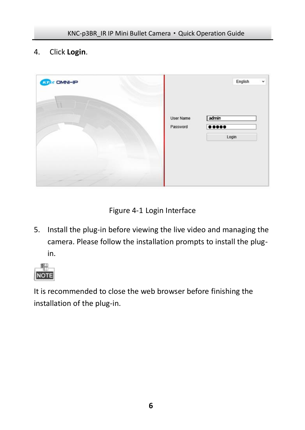4. Click **Login**.



Figure 4-1 Login Interface

5. Install the plug-in before viewing the live video and managing the camera. Please follow the installation prompts to install the plugin.



It is recommended to close the web browser before finishing the installation of the plug-in.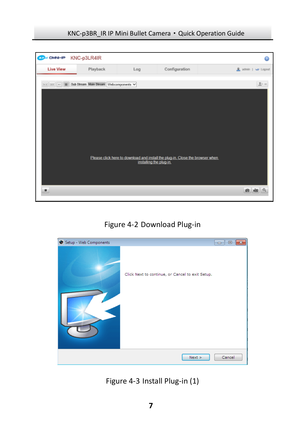

Figure 4-2 Download Plug-in



Figure 4-3 Install Plug-in (1)